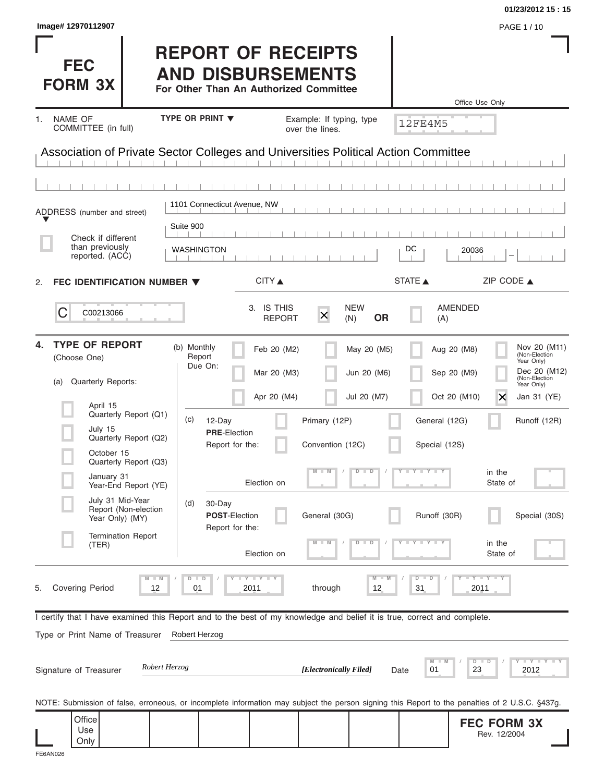|                                                                                                                                                |                                                                                                 |                                         |                                |                               | 01/23/2012 15:15                                                                                                                                        |
|------------------------------------------------------------------------------------------------------------------------------------------------|-------------------------------------------------------------------------------------------------|-----------------------------------------|--------------------------------|-------------------------------|---------------------------------------------------------------------------------------------------------------------------------------------------------|
| Image# 12970112907                                                                                                                             |                                                                                                 |                                         |                                |                               | PAGE 1 / 10                                                                                                                                             |
| <b>FEC</b><br><b>FORM 3X</b>                                                                                                                   | <b>REPORT OF RECEIPTS</b><br><b>AND DISBURSEMENTS</b><br>For Other Than An Authorized Committee |                                         |                                | Office Use Only               |                                                                                                                                                         |
| <b>NAME OF</b><br>1.                                                                                                                           | <b>TYPE OR PRINT ▼</b>                                                                          | Example: If typing, type                |                                |                               |                                                                                                                                                         |
| COMMITTEE (in full)                                                                                                                            |                                                                                                 | over the lines.                         |                                | <b>12FE4M5</b>                |                                                                                                                                                         |
| Association of Private Sector Colleges and Universities Political Action Committee                                                             |                                                                                                 |                                         |                                |                               |                                                                                                                                                         |
|                                                                                                                                                |                                                                                                 |                                         |                                |                               |                                                                                                                                                         |
| ADDRESS (number and street)                                                                                                                    | 1101 Connecticut Avenue, NW                                                                     |                                         |                                |                               |                                                                                                                                                         |
|                                                                                                                                                | Suite 900                                                                                       |                                         |                                |                               |                                                                                                                                                         |
| Check if different<br>than previously                                                                                                          | WASHINGTON                                                                                      |                                         |                                | DC<br>20036                   |                                                                                                                                                         |
| reported. (ACC)                                                                                                                                |                                                                                                 |                                         |                                |                               |                                                                                                                                                         |
| FEC IDENTIFICATION NUMBER ▼<br>2.                                                                                                              |                                                                                                 | CITY                                    |                                | STATE A                       | ZIP CODE $\triangle$                                                                                                                                    |
| C<br>C00213066                                                                                                                                 |                                                                                                 | 3. IS THIS<br>$\times$<br><b>REPORT</b> | <b>NEW</b><br><b>OR</b><br>(N) | AMENDED<br>(A)                |                                                                                                                                                         |
| <b>TYPE OF REPORT</b><br>4.<br>(Choose One)                                                                                                    | (b) Monthly<br>Report<br>Due On:                                                                | Feb 20 (M2)                             | May 20 (M5)                    | Aug 20 (M8)                   | Nov 20 (M11)<br>(Non-Election<br>Year Only)<br>Dec 20 (M12)                                                                                             |
| Quarterly Reports:<br>(a)                                                                                                                      |                                                                                                 | Mar 20 (M3)                             | Jun 20 (M6)                    | Sep 20 (M9)                   | (Non-Election<br>Year Only)                                                                                                                             |
| April 15<br>Quarterly Report (Q1)                                                                                                              | (c)<br>12-Day                                                                                   | Apr 20 (M4)<br>Primary (12P)            | Jul 20 (M7)                    | Oct 20 (M10)<br>General (12G) | X<br>Jan 31 (YE)<br>Runoff (12R)                                                                                                                        |
| July 15<br>Quarterly Report (Q2)                                                                                                               | <b>PRE-Election</b><br>Report for the:                                                          | Convention (12C)                        |                                | Special (12S)                 |                                                                                                                                                         |
| October 15<br>Quarterly Report (Q3)                                                                                                            |                                                                                                 |                                         |                                |                               |                                                                                                                                                         |
| January 31<br>Year-End Report (YE)                                                                                                             |                                                                                                 | Election on                             | $\overline{D}$<br>$\Box$       | $Y - Y - Y - Y - I$           | in the<br>State of                                                                                                                                      |
| July 31 Mid-Year<br>Report (Non-election<br>Year Only) (MY)                                                                                    | (d)<br>30-Day<br><b>POST-Election</b><br>Report for the:                                        | General (30G)                           |                                | Runoff (30R)                  | Special (30S)                                                                                                                                           |
| <b>Termination Report</b><br>(TER)                                                                                                             |                                                                                                 | Election on                             | $\overline{\phantom{0}}$<br>D  |                               | in the<br>State of                                                                                                                                      |
| $M - M$<br><b>Covering Period</b><br>12<br>5.                                                                                                  | $D$ $D$<br><b>TY TY TY</b><br>2011<br>01                                                        | through                                 | $M - M$<br>12                  | $D$ $D$<br>31<br>2011         | $\overline{Y}$ $\overline{Y}$ $\overline{Y}$ $\overline{Y}$ $\overline{Y}$ $\overline{Y}$                                                               |
| I certify that I have examined this Report and to the best of my knowledge and belief it is true, correct and complete.                        |                                                                                                 |                                         |                                |                               |                                                                                                                                                         |
| Type or Print Name of Treasurer                                                                                                                | Robert Herzog                                                                                   |                                         |                                |                               |                                                                                                                                                         |
| Robert Herzog<br>Signature of Treasurer                                                                                                        |                                                                                                 | [Electronically Filed]                  | Date                           | M<br>01<br>23                 | $    +$ $ +$ $ +$ $ +$ $ +$ $ +$ $ +$ $ +$ $ +$ $ +$ $ +$ $ +$ $ +$ $ +$ $ +$ $ +$ $ +$ $ +$ $ +$ $ +$ $ +$ $ +$ $ +$ $ +$ $ +$ $ +$<br>$D$ $D$<br>2012 |
| NOTE: Submission of false, erroneous, or incomplete information may subject the person signing this Report to the penalties of 2 U.S.C. §437g. |                                                                                                 |                                         |                                |                               |                                                                                                                                                         |
| Office<br>Use<br>Only                                                                                                                          |                                                                                                 |                                         |                                |                               | <b>FEC FORM 3X</b><br>Rev. 12/2004                                                                                                                      |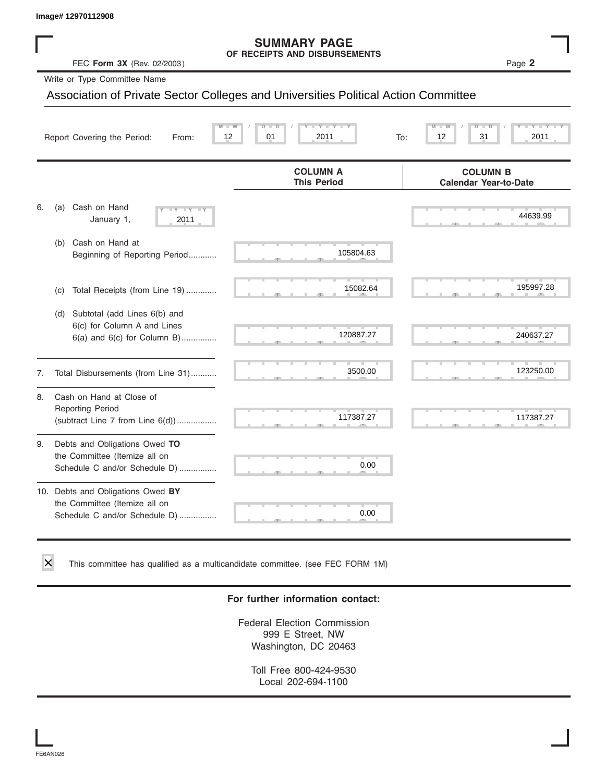#### **SUMMARY PAGE OF RECEIPTS AND DISBURSEMENTS**

|    | lmage# 12970112908                                                                                    |                                                                                    |                                                 |
|----|-------------------------------------------------------------------------------------------------------|------------------------------------------------------------------------------------|-------------------------------------------------|
|    | FEC Form 3X (Rev. 02/2003)                                                                            | <b>SUMMARY PAGE</b><br>OF RECEIPTS AND DISBURSEMENTS                               | Page 2                                          |
|    | Write or Type Committee Name                                                                          |                                                                                    |                                                 |
|    |                                                                                                       | Association of Private Sector Colleges and Universities Political Action Committee |                                                 |
|    | Report Covering the Period:<br>From:                                                                  | $Y =$<br>12<br>01<br>2011                                                          | 12<br>31<br>2011<br>To:                         |
|    |                                                                                                       | <b>COLUMN A</b><br><b>This Period</b>                                              | <b>COLUMN B</b><br><b>Calendar Year-to-Date</b> |
| 6. | Cash on Hand<br>(a)<br>$\overline{\mathbf{y}}$<br>January 1,<br>2011                                  |                                                                                    | 44639.99                                        |
|    | Cash on Hand at<br>(b)<br>Beginning of Reporting Period                                               | 105804.63                                                                          |                                                 |
|    | Total Receipts (from Line 19)<br>(c)                                                                  | 15082.64                                                                           | 195997.28                                       |
|    | Subtotal (add Lines 6(b) and<br>(d)<br>6(c) for Column A and Lines<br>$6(a)$ and $6(c)$ for Column B) | 120887.27                                                                          | 240637.27                                       |
| 7. | Total Disbursements (from Line 31)                                                                    | 3500.00                                                                            | 123250.00                                       |
| 8. | Cash on Hand at Close of<br><b>Reporting Period</b><br>(subtract Line $7$ from Line $6(d)$ )          | 117387.27                                                                          | 117387.27                                       |
| 9. | Debts and Obligations Owed TO<br>the Committee (Itemize all on<br>Schedule C and/or Schedule D)       | 0.00                                                                               |                                                 |
|    | 10. Debts and Obligations Owed BY<br>the Committee (Itemize all on<br>Schedule C and/or Schedule D)   | 0.00                                                                               |                                                 |

This committee has qualified as a multicandidate committee. (see FEC FORM 1M)

#### **For further information contact:**

Federal Election Commission 999 E Street, NW Washington, DC 20463

Toll Free 800-424-9530 Local 202-694-1100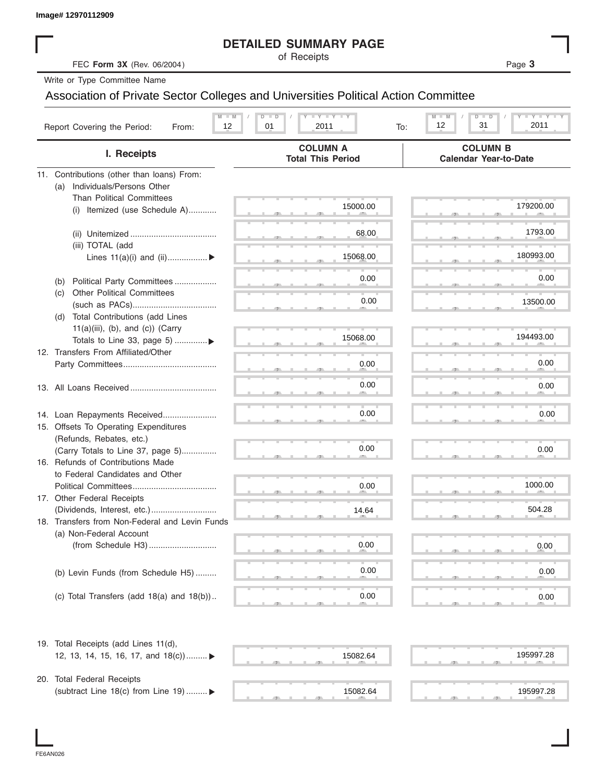| Image# 12970112909                                                        |                                                                                    |                                                                                               |
|---------------------------------------------------------------------------|------------------------------------------------------------------------------------|-----------------------------------------------------------------------------------------------|
|                                                                           | <b>DETAILED SUMMARY PAGE</b>                                                       |                                                                                               |
| FEC Form 3X (Rev. 06/2004)                                                | of Receipts                                                                        | Page 3                                                                                        |
| Write or Type Committee Name                                              |                                                                                    |                                                                                               |
|                                                                           | Association of Private Sector Colleges and Universities Political Action Committee |                                                                                               |
| Report Covering the Period:<br>From:                                      | $LY = Y + Y$<br>$M - M$<br>$D$ $D$<br>12<br>01<br>2011<br>To:                      | $\mathbf{I} = \mathbf{Y}$ $\mathbf{I} = \mathbf{Y}$<br>$M - M$<br>$D$ $D$<br>12<br>31<br>2011 |
| I. Receipts                                                               | <b>COLUMN A</b><br><b>Total This Period</b>                                        | <b>COLUMN B</b><br><b>Calendar Year-to-Date</b>                                               |
| 11. Contributions (other than loans) From:                                |                                                                                    |                                                                                               |
| Individuals/Persons Other<br>(a)                                          |                                                                                    |                                                                                               |
| <b>Than Political Committees</b><br>Itemized (use Schedule A)<br>(i)      | 15000.00                                                                           | 179200.00                                                                                     |
|                                                                           |                                                                                    |                                                                                               |
|                                                                           | 68.00                                                                              | 1793.00                                                                                       |
| (iii) TOTAL (add                                                          |                                                                                    |                                                                                               |
| Lines $11(a)(i)$ and $(ii)$                                               | 15068.00                                                                           | 180993.00                                                                                     |
|                                                                           |                                                                                    | 0.00                                                                                          |
| Political Party Committees<br>(b)                                         | 0.00                                                                               |                                                                                               |
| <b>Other Political Committees</b><br>(c)                                  | 0.00                                                                               | 13500.00                                                                                      |
| Total Contributions (add Lines<br>(d)                                     |                                                                                    |                                                                                               |
| $11(a)(iii)$ , (b), and (c)) (Carry                                       |                                                                                    |                                                                                               |
| Totals to Line 33, page 5)                                                | 15068.00                                                                           | 194493.00                                                                                     |
| 12. Transfers From Affiliated/Other                                       |                                                                                    |                                                                                               |
|                                                                           | 0.00                                                                               | 0.00                                                                                          |
|                                                                           | 0.00                                                                               | 0.00                                                                                          |
|                                                                           |                                                                                    |                                                                                               |
|                                                                           |                                                                                    |                                                                                               |
| 14. Loan Repayments Received                                              | 0.00                                                                               | 0.00                                                                                          |
| 15. Offsets To Operating Expenditures<br>(Refunds, Rebates, etc.)         |                                                                                    |                                                                                               |
| (Carry Totals to Line 37, page 5)                                         | 0.00                                                                               | 0.00                                                                                          |
| 16. Refunds of Contributions Made                                         |                                                                                    |                                                                                               |
| to Federal Candidates and Other                                           |                                                                                    |                                                                                               |
| Political Committees                                                      | 0.00                                                                               | 1000.00                                                                                       |
| 17. Other Federal Receipts                                                |                                                                                    |                                                                                               |
|                                                                           | 14.64                                                                              | 504.28                                                                                        |
| 18. Transfers from Non-Federal and Levin Funds<br>(a) Non-Federal Account |                                                                                    |                                                                                               |
|                                                                           | 0.00                                                                               | 0.00                                                                                          |
|                                                                           |                                                                                    |                                                                                               |
| (b) Levin Funds (from Schedule H5)                                        | 0.00                                                                               | 0.00                                                                                          |
|                                                                           |                                                                                    |                                                                                               |
| (c) Total Transfers (add $18(a)$ and $18(b)$ )                            | 0.00                                                                               | 0.00                                                                                          |
|                                                                           |                                                                                    |                                                                                               |
| 19. Total Receipts (add Lines 11(d),                                      |                                                                                    |                                                                                               |
| 12, 13, 14, 15, 16, 17, and $18(c)$                                       | 15082.64                                                                           | 195997.28                                                                                     |
|                                                                           |                                                                                    |                                                                                               |
| 20. Total Federal Receipts                                                |                                                                                    |                                                                                               |
| (subtract Line 18(c) from Line 19)  ▶                                     | 15082.64                                                                           | 195997.28                                                                                     |

I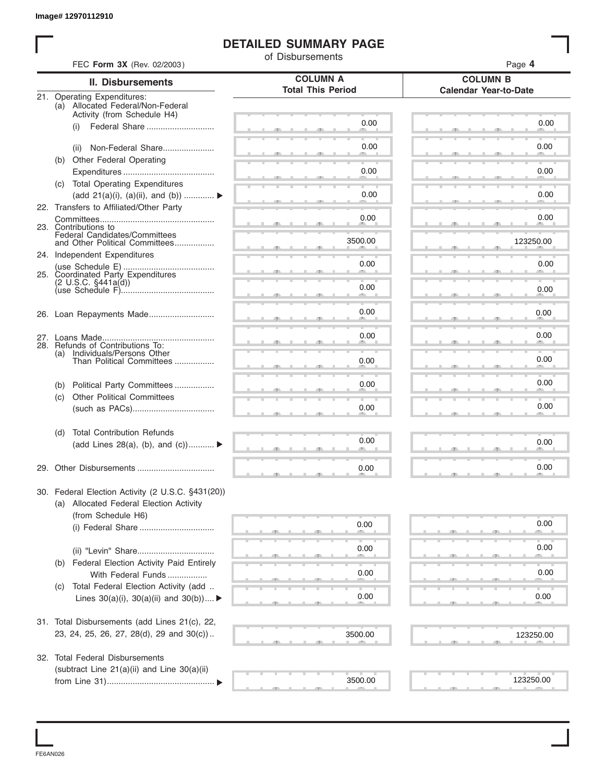## **DETAILED SUMMARY PAGE**

|     |                                                                      | <b>DETAILED SUMMARY PAGE</b><br>of Disbursements |                                                 |
|-----|----------------------------------------------------------------------|--------------------------------------------------|-------------------------------------------------|
|     | FEC Form 3X (Rev. 02/2003)                                           |                                                  | Page 4                                          |
|     | <b>II. Disbursements</b>                                             | <b>COLUMN A</b><br><b>Total This Period</b>      | <b>COLUMN B</b><br><b>Calendar Year-to-Date</b> |
|     | 21. Operating Expenditures:<br>(a) Allocated Federal/Non-Federal     |                                                  |                                                 |
|     | Activity (from Schedule H4)                                          |                                                  |                                                 |
|     | Federal Share<br>(i)                                                 | 0.00                                             | 0.00                                            |
|     |                                                                      | 0.00                                             | 0.00                                            |
|     | Non-Federal Share<br>(ii)                                            |                                                  |                                                 |
|     | (b) Other Federal Operating                                          | 0.00                                             | 0.00                                            |
|     | (c) Total Operating Expenditures                                     |                                                  |                                                 |
|     | (add 21(a)(i), (a)(ii), and (b))                                     | 0.00                                             | 0.00                                            |
|     | 22. Transfers to Affiliated/Other Party                              |                                                  |                                                 |
|     |                                                                      | 0.00                                             | 0.00                                            |
|     | 23. Contributions to<br>Federal Candidates/Committees                |                                                  |                                                 |
|     | and Other Political Committees                                       | 3500.00                                          | 123250.00                                       |
|     | 24. Independent Expenditures                                         |                                                  |                                                 |
|     | 25. Coordinated Party Expenditures                                   | 0.00                                             | 0.00                                            |
|     | $(2 \cup S.C. \S441a(d))$                                            | 0.00                                             |                                                 |
|     |                                                                      |                                                  | 0.00                                            |
|     |                                                                      | 0.00                                             | 0.00                                            |
|     |                                                                      |                                                  |                                                 |
|     |                                                                      | 0.00                                             | 0.00                                            |
|     | 28. Refunds of Contributions To:                                     |                                                  |                                                 |
| (a) | Individuals/Persons Other<br>Than Political Committees               | 0.00                                             | 0.00                                            |
|     |                                                                      |                                                  |                                                 |
| (b) | Political Party Committees                                           | 0.00                                             | 0.00                                            |
| (c) | <b>Other Political Committees</b>                                    |                                                  |                                                 |
|     |                                                                      | 0.00                                             | 0.00                                            |
| (d) | <b>Total Contribution Refunds</b>                                    |                                                  |                                                 |
|     | (add Lines 28(a), (b), and $(c)$ )                                   | 0.00                                             | 0.00                                            |
|     |                                                                      |                                                  |                                                 |
|     |                                                                      | 0.00                                             | 0.00                                            |
|     | 30. Federal Election Activity (2 U.S.C. §431(20))                    |                                                  |                                                 |
|     | (a) Allocated Federal Election Activity                              |                                                  |                                                 |
|     | (from Schedule H6)                                                   |                                                  |                                                 |
|     |                                                                      | 0.00                                             | 0.00                                            |
|     |                                                                      | 0.00                                             | 0.00                                            |
|     |                                                                      |                                                  |                                                 |
| (b) | <b>Federal Election Activity Paid Entirely</b><br>With Federal Funds | 0.00                                             | 0.00                                            |
| (C) | Total Federal Election Activity (add                                 |                                                  |                                                 |
|     | Lines $30(a)(i)$ , $30(a)(ii)$ and $30(b))$                          | 0.00                                             | 0.00                                            |
|     |                                                                      |                                                  |                                                 |
|     | 31. Total Disbursements (add Lines 21(c), 22,                        |                                                  |                                                 |
|     | 23, 24, 25, 26, 27, 28(d), 29 and 30(c))                             | 3500.00                                          | 123250.00                                       |
|     |                                                                      |                                                  |                                                 |
|     | 32. Total Federal Disbursements                                      |                                                  |                                                 |
|     | (subtract Line 21(a)(ii) and Line 30(a)(ii)                          |                                                  |                                                 |
|     |                                                                      | 3500.00                                          | 123250.00                                       |

FE6AN026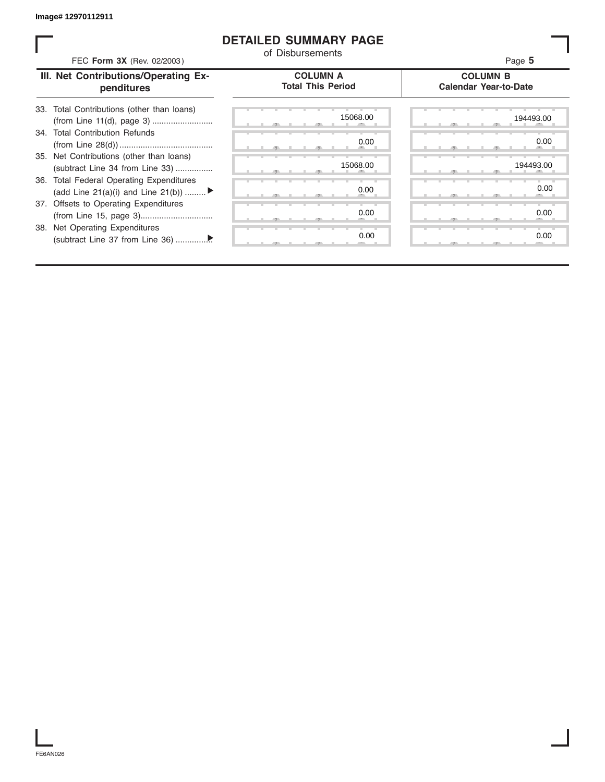### **DETAILED SUMMARY PAGE**

| FEC Form 3X (Rev. 02/2003)                                                               | of Disbursements                            | Page 5                                          |
|------------------------------------------------------------------------------------------|---------------------------------------------|-------------------------------------------------|
| III. Net Contributions/Operating Ex-<br>penditures                                       | <b>COLUMN A</b><br><b>Total This Period</b> | <b>COLUMN B</b><br><b>Calendar Year-to-Date</b> |
| 33. Total Contributions (other than loans)<br>(from Line 11(d), page 3)                  | 15068.00                                    | 194493.00                                       |
| 34. Total Contribution Refunds                                                           | 0.00                                        | 0.00                                            |
| 35. Net Contributions (other than loans)<br>(subtract Line 34 from Line 33)              | 15068.00                                    | 194493.00                                       |
| <b>Total Federal Operating Expenditures</b><br>36.<br>(add Line 21(a)(i) and Line 21(b)) | 0.00                                        | 0.00                                            |
| 37. Offsets to Operating Expenditures                                                    | 0.00                                        | 0.00                                            |
| 38. Net Operating Expenditures                                                           | 0.00                                        | 0.00                                            |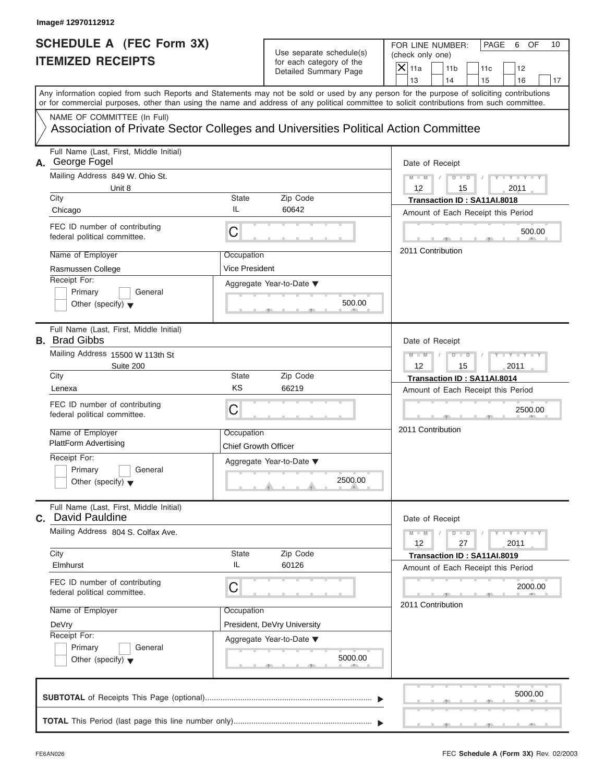# **SCHEDULE A (FEC Form 3X) ITEMIZED RECEIPTS**

|                                       | Use separate schedule(s)<br>for each category of the<br>Detailed Summary Page | FOR LINE NUMBER:<br>PAGE<br>OF<br>10<br>6<br>(check only one)<br>$\overline{X}$ 11a<br>11 <sub>b</sub><br>12<br>11c                                                                                                                                                                                                                                                             |
|---------------------------------------|-------------------------------------------------------------------------------|---------------------------------------------------------------------------------------------------------------------------------------------------------------------------------------------------------------------------------------------------------------------------------------------------------------------------------------------------------------------------------|
|                                       |                                                                               | 13<br>14<br>15<br>16<br>17<br>Any information copied from such Reports and Statements may not be sold or used by any person for the purpose of soliciting contributions                                                                                                                                                                                                         |
|                                       |                                                                               |                                                                                                                                                                                                                                                                                                                                                                                 |
| <b>State</b><br>IL<br>C<br>Occupation | Zip Code<br>60642<br>500.00<br><b>COMMAND</b>                                 | Date of Receipt<br>$M - M$ /<br>$D$ $D$<br>$Y - Y - Y - Y - Y$<br>12<br>2011<br>15<br>Transaction ID: SA11AI.8018<br>Amount of Each Receipt this Period<br>500.00<br><b>The Contract Contract Contract</b><br>2011 Contribution                                                                                                                                                 |
| State<br>KS<br>С<br>Occupation        | Zip Code<br>66219<br>2500.00<br>$\mathbf{r}$ and $\mathbf{r}$                 | Date of Receipt<br>$M - M$<br>$D$ $D$<br>$Y - Y - Y$<br>12<br>15<br>2011<br>Transaction ID: SA11AI.8014<br>Amount of Each Receipt this Period<br>2500.00<br><b>Contract Contract Contract</b><br>2011 Contribution                                                                                                                                                              |
| <b>State</b><br>IL<br>С<br>Occupation | Zip Code<br>60126<br>Aggregate Year-to-Date ▼                                 | Date of Receipt<br>$M - M$<br>$D$ $D$<br>$Y - Y - Y - Y - I$<br>27<br>12<br>2011<br>Transaction ID: SA11AI.8019<br>Amount of Each Receipt this Period<br>2000.00<br>2011 Contribution                                                                                                                                                                                           |
|                                       |                                                                               | or for commercial purposes, other than using the name and address of any political committee to solicit contributions from such committee.<br>Association of Private Sector Colleges and Universities Political Action Committee<br><b>Vice President</b><br>Aggregate Year-to-Date ▼<br><b>Chief Growth Officer</b><br>Aggregate Year-to-Date ▼<br>President, DeVry University |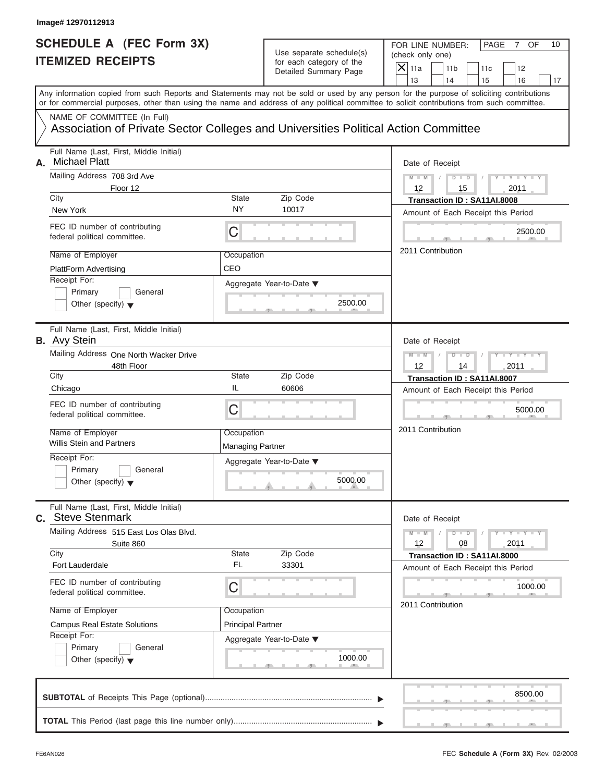#### **Image# 12970112913**

# **SCHEDULE A (FEC Form 3X) ITEMIZED RECEIPTS**

# Use separate schedule(s) (check only one)<br>for each category of the  $\Box$

FOR LINE NUMBER: PAGE 7 OF<br>(check only one)

| SCHEDULE A (FEC Form 3X)<br><b>ITEMIZED RECEIPTS</b>                                                                                                                                                                                                                                    |                                       | Use separate schedule(s)<br>for each category of the<br>Detailed Summary Page | FOR LINE NUMBER:<br>PAGE<br>7 OF<br>10<br>(check only one)<br>$\mathsf{X}$ 11a<br>11 <sub>b</sub><br>12<br>11c |
|-----------------------------------------------------------------------------------------------------------------------------------------------------------------------------------------------------------------------------------------------------------------------------------------|---------------------------------------|-------------------------------------------------------------------------------|----------------------------------------------------------------------------------------------------------------|
|                                                                                                                                                                                                                                                                                         |                                       |                                                                               | 13<br>14<br>15<br>16<br>17                                                                                     |
| Any information copied from such Reports and Statements may not be sold or used by any person for the purpose of soliciting contributions<br>or for commercial purposes, other than using the name and address of any political committee to solicit contributions from such committee. |                                       |                                                                               |                                                                                                                |
| NAME OF COMMITTEE (In Full)<br>Association of Private Sector Colleges and Universities Political Action Committee                                                                                                                                                                       |                                       |                                                                               |                                                                                                                |
| Full Name (Last, First, Middle Initial)<br><b>Michael Platt</b><br>А.                                                                                                                                                                                                                   |                                       |                                                                               | Date of Receipt                                                                                                |
| Mailing Address 708 3rd Ave<br>Floor 12<br>City                                                                                                                                                                                                                                         | State                                 | Zip Code                                                                      | $Y - Y - I$<br>$M - M$<br>D<br>$\Box$<br>12<br>15<br>2011<br>Transaction ID: SA11AI.8008                       |
| New York                                                                                                                                                                                                                                                                                | <b>NY</b>                             | 10017                                                                         | Amount of Each Receipt this Period                                                                             |
| FEC ID number of contributing<br>federal political committee.                                                                                                                                                                                                                           | C                                     |                                                                               | 2500.00                                                                                                        |
| Name of Employer<br><b>PlattForm Advertising</b>                                                                                                                                                                                                                                        | Occupation<br>CEO                     |                                                                               | 2011 Contribution                                                                                              |
| Receipt For:<br>Primary<br>General<br>Other (specify) $\blacktriangledown$                                                                                                                                                                                                              |                                       | Aggregate Year-to-Date ▼<br>2500.00                                           |                                                                                                                |
| Full Name (Last, First, Middle Initial)<br><b>B.</b> Avy Stein                                                                                                                                                                                                                          |                                       |                                                                               | Date of Receipt                                                                                                |
| Mailing Address One North Wacker Drive<br>48th Floor                                                                                                                                                                                                                                    |                                       |                                                                               | $M - M$<br>D<br>□□□<br>12<br>2011<br>14                                                                        |
| City<br>Chicago                                                                                                                                                                                                                                                                         | State<br>IL                           | Zip Code<br>60606                                                             | Transaction ID: SA11AI.8007<br>Amount of Each Receipt this Period                                              |
| FEC ID number of contributing<br>federal political committee.                                                                                                                                                                                                                           | $\mathsf C$                           |                                                                               | 5000.00                                                                                                        |
| Name of Employer<br>Willis Stein and Partners                                                                                                                                                                                                                                           | Occupation<br><b>Managing Partner</b> |                                                                               | 2011 Contribution                                                                                              |
| Receipt For:<br>Primary<br>General<br>Other (specify) $\blacktriangledown$                                                                                                                                                                                                              |                                       | Aggregate Year-to-Date ▼<br>5000.00<br>$\sim$                                 |                                                                                                                |
| Full Name (Last, First, Middle Initial)<br><b>C.</b> Steve Stenmark                                                                                                                                                                                                                     |                                       |                                                                               | Date of Receipt                                                                                                |
| Mailing Address 515 East Los Olas Blvd.<br>Suite 860                                                                                                                                                                                                                                    |                                       |                                                                               | $Y - Y - Y - Y - I$<br>$M - M$<br>D<br>$\Box$<br>12<br>08<br>2011                                              |
| City<br>Fort Lauderdale                                                                                                                                                                                                                                                                 | State<br>FL                           | Zip Code<br>33301                                                             | Transaction ID: SA11AI.8000<br>Amount of Each Receipt this Period                                              |
| FEC ID number of contributing<br>federal political committee.                                                                                                                                                                                                                           | С                                     |                                                                               | 1000.00                                                                                                        |
| Name of Employer                                                                                                                                                                                                                                                                        | Occupation                            |                                                                               | 2011 Contribution                                                                                              |
| <b>Campus Real Estate Solutions</b><br>Receipt For:                                                                                                                                                                                                                                     | <b>Principal Partner</b>              |                                                                               |                                                                                                                |
| Primary<br>General<br>Other (specify) $\blacktriangledown$                                                                                                                                                                                                                              |                                       | Aggregate Year-to-Date ▼<br>1000.00                                           |                                                                                                                |
|                                                                                                                                                                                                                                                                                         |                                       |                                                                               | 8500.00                                                                                                        |
|                                                                                                                                                                                                                                                                                         |                                       |                                                                               |                                                                                                                |

S S S , , .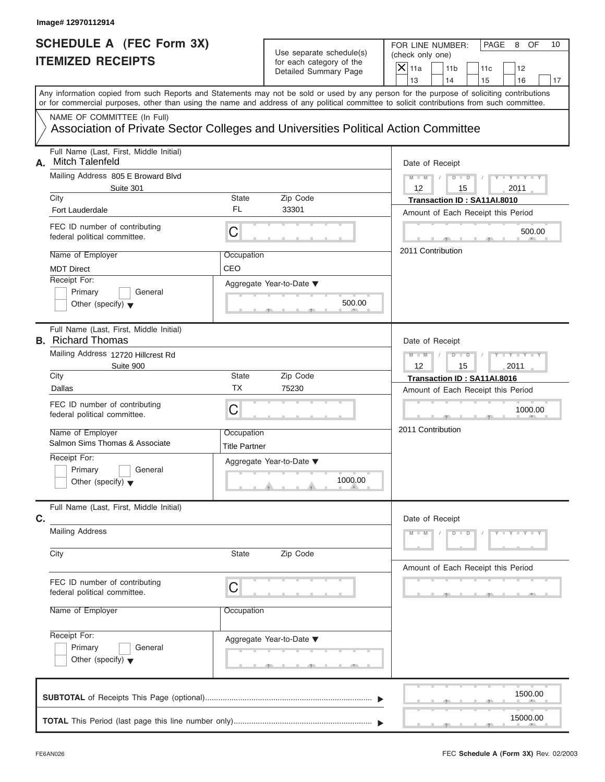# **SCHEDULE A (FEC Form 3X) ITEMIZED RECEIPTS**

FOR LINE NUMBER: PAGE 8 OF<br>(check only one)

| SCHEDULE A (FEC Form 3X)<br><b>ITEMIZED RECEIPTS</b> |                                                                                                                                                                                                                                                                                         |                                    | Use separate schedule(s)<br>for each category of the                       | FOR LINE NUMBER:<br>PAGE<br>8<br>OF<br>10<br>(check only one)                    |
|------------------------------------------------------|-----------------------------------------------------------------------------------------------------------------------------------------------------------------------------------------------------------------------------------------------------------------------------------------|------------------------------------|----------------------------------------------------------------------------|----------------------------------------------------------------------------------|
|                                                      |                                                                                                                                                                                                                                                                                         |                                    | Detailed Summary Page                                                      | $\overline{X}$ 11a<br>11 <sub>b</sub><br>12<br>11c<br>13<br>14<br>15<br>16<br>17 |
|                                                      | Any information copied from such Reports and Statements may not be sold or used by any person for the purpose of soliciting contributions<br>or for commercial purposes, other than using the name and address of any political committee to solicit contributions from such committee. |                                    |                                                                            |                                                                                  |
|                                                      | NAME OF COMMITTEE (In Full)<br>Association of Private Sector Colleges and Universities Political Action Committee                                                                                                                                                                       |                                    |                                                                            |                                                                                  |
| А.                                                   | Full Name (Last, First, Middle Initial)<br>Mitch Talenfeld                                                                                                                                                                                                                              |                                    |                                                                            | Date of Receipt                                                                  |
|                                                      | Mailing Address 805 E Broward Blvd<br>Suite 301<br>City                                                                                                                                                                                                                                 | State                              | Zip Code                                                                   | $M - M$<br>$D$ $D$<br>12<br>15<br>2011                                           |
|                                                      | Fort Lauderdale                                                                                                                                                                                                                                                                         | <b>FL</b>                          | 33301                                                                      | Transaction ID: SA11AI.8010<br>Amount of Each Receipt this Period                |
|                                                      | FEC ID number of contributing<br>federal political committee.                                                                                                                                                                                                                           | C                                  |                                                                            | 500.00                                                                           |
|                                                      | Name of Employer<br><b>MDT Direct</b>                                                                                                                                                                                                                                                   | Occupation<br>CEO                  |                                                                            | 2011 Contribution                                                                |
|                                                      | Receipt For:<br>Primary<br>General<br>Other (specify) $\blacktriangledown$                                                                                                                                                                                                              |                                    | Aggregate Year-to-Date ▼<br>500.00                                         |                                                                                  |
|                                                      | Full Name (Last, First, Middle Initial)<br><b>B.</b> Richard Thomas                                                                                                                                                                                                                     |                                    |                                                                            | Date of Receipt                                                                  |
|                                                      | Mailing Address 12720 Hillcrest Rd<br>Suite 900                                                                                                                                                                                                                                         |                                    |                                                                            | $M - M$<br>$D$ $D$<br>12<br>15<br>2011                                           |
|                                                      | City<br>Dallas                                                                                                                                                                                                                                                                          | State<br>ТX                        | Zip Code<br>75230                                                          | Transaction ID: SA11AI.8016<br>Amount of Each Receipt this Period                |
|                                                      | FEC ID number of contributing<br>federal political committee.                                                                                                                                                                                                                           | C                                  |                                                                            | 1000.00                                                                          |
|                                                      | Name of Employer<br>Salmon Sims Thomas & Associate                                                                                                                                                                                                                                      | Occupation<br><b>Title Partner</b> |                                                                            | 2011 Contribution                                                                |
|                                                      | Receipt For:<br>Primary<br>General<br>Other (specify) $\blacktriangledown$                                                                                                                                                                                                              |                                    | Aggregate Year-to-Date ▼<br>1000.00<br><b>All Angeles</b><br>$\mathcal{A}$ |                                                                                  |
| C.                                                   | Full Name (Last, First, Middle Initial)                                                                                                                                                                                                                                                 |                                    |                                                                            | Date of Receipt                                                                  |
|                                                      | <b>Mailing Address</b>                                                                                                                                                                                                                                                                  |                                    |                                                                            | $M - M$<br>$Y - Y - Y - Y - Y$<br>$D$ $D$                                        |
|                                                      | City                                                                                                                                                                                                                                                                                    | State                              | Zip Code                                                                   | Amount of Each Receipt this Period                                               |
|                                                      | FEC ID number of contributing<br>federal political committee.                                                                                                                                                                                                                           | C                                  |                                                                            |                                                                                  |
|                                                      | Name of Employer                                                                                                                                                                                                                                                                        | Occupation                         |                                                                            |                                                                                  |
|                                                      | Receipt For:<br>Primary<br>General<br>Other (specify) $\blacktriangledown$                                                                                                                                                                                                              |                                    | Aggregate Year-to-Date ▼                                                   |                                                                                  |
|                                                      |                                                                                                                                                                                                                                                                                         |                                    |                                                                            | 1500.00                                                                          |
|                                                      |                                                                                                                                                                                                                                                                                         |                                    |                                                                            | 15000.00                                                                         |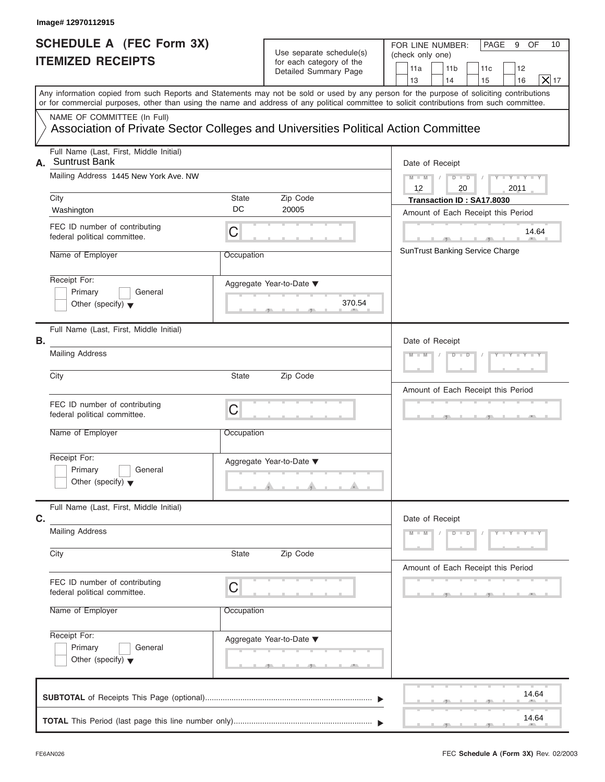#### **Image# 12970112915**

| SCHEDULE A (FEC Form 3X) |  |  |
|--------------------------|--|--|
| <b>ITEMIZED RECEIPTS</b> |  |  |

FOR LINE NUMBER: PAGE 9 OF<br>(check only one)

|                          | SCHEDULE A (FEC Form 3X)                                                                                                                                                                                                                                                                |              | Use separate schedule(s)           |                  | FOR LINE NUMBER:                           | PAGE<br>9<br>OF<br>10                      |
|--------------------------|-----------------------------------------------------------------------------------------------------------------------------------------------------------------------------------------------------------------------------------------------------------------------------------------|--------------|------------------------------------|------------------|--------------------------------------------|--------------------------------------------|
| <b>ITEMIZED RECEIPTS</b> |                                                                                                                                                                                                                                                                                         |              | for each category of the           | (check only one) |                                            |                                            |
|                          |                                                                                                                                                                                                                                                                                         |              | Detailed Summary Page              | 11a<br>13        | 11 <sub>b</sub><br>14                      | 11c<br>12<br>$\overline{X}$ 17<br>16<br>15 |
|                          | Any information copied from such Reports and Statements may not be sold or used by any person for the purpose of soliciting contributions<br>or for commercial purposes, other than using the name and address of any political committee to solicit contributions from such committee. |              |                                    |                  |                                            |                                            |
|                          | NAME OF COMMITTEE (In Full)<br>Association of Private Sector Colleges and Universities Political Action Committee                                                                                                                                                                       |              |                                    |                  |                                            |                                            |
|                          | Full Name (Last, First, Middle Initial)<br>A. Suntrust Bank                                                                                                                                                                                                                             |              |                                    |                  | Date of Receipt                            |                                            |
|                          | Mailing Address 1445 New York Ave. NW<br>City                                                                                                                                                                                                                                           | State        | Zip Code                           | $M - M$<br>12    | $D$ $D$<br>20<br>Transaction ID: SA17.8030 | $Y = Y$<br>2011                            |
|                          | Washington                                                                                                                                                                                                                                                                              | DC           | 20005                              |                  |                                            | Amount of Each Receipt this Period         |
|                          | FEC ID number of contributing<br>federal political committee.                                                                                                                                                                                                                           | C            |                                    |                  | $\sim$                                     | 14.64<br>- 91                              |
|                          | Name of Employer                                                                                                                                                                                                                                                                        | Occupation   |                                    |                  |                                            | SunTrust Banking Service Charge            |
|                          | Receipt For:<br>Primary<br>General<br>Other (specify) $\blacktriangledown$                                                                                                                                                                                                              |              | Aggregate Year-to-Date ▼<br>370.54 |                  |                                            |                                            |
| В.                       | Full Name (Last, First, Middle Initial)                                                                                                                                                                                                                                                 |              |                                    |                  | Date of Receipt                            |                                            |
|                          | <b>Mailing Address</b>                                                                                                                                                                                                                                                                  |              |                                    |                  | ъ<br>D                                     |                                            |
|                          | City                                                                                                                                                                                                                                                                                    | <b>State</b> | Zip Code                           |                  |                                            | Amount of Each Receipt this Period         |
|                          | FEC ID number of contributing<br>federal political committee.                                                                                                                                                                                                                           | $\mathsf C$  |                                    |                  |                                            |                                            |
|                          | Name of Employer                                                                                                                                                                                                                                                                        | Occupation   |                                    |                  |                                            |                                            |
|                          | Receipt For:<br>Primary<br>General<br>Other (specify) $\blacktriangledown$                                                                                                                                                                                                              |              | Aggregate Year-to-Date ▼<br>محصد   |                  |                                            |                                            |
| C.                       | Full Name (Last, First, Middle Initial)                                                                                                                                                                                                                                                 |              |                                    |                  | Date of Receipt                            |                                            |
|                          | <b>Mailing Address</b>                                                                                                                                                                                                                                                                  |              |                                    | $M - M$          | $\overline{D}$<br>$\Box$                   | $Y - Y - Y - Y - I$                        |
|                          | City                                                                                                                                                                                                                                                                                    | State        | Zip Code                           |                  |                                            | Amount of Each Receipt this Period         |
|                          | FEC ID number of contributing<br>federal political committee.                                                                                                                                                                                                                           | C            |                                    |                  |                                            |                                            |
|                          | Name of Employer                                                                                                                                                                                                                                                                        | Occupation   |                                    |                  |                                            |                                            |
|                          | Receipt For:<br>Primary<br>General<br>Other (specify) $\blacktriangledown$                                                                                                                                                                                                              |              | Aggregate Year-to-Date ▼<br>$-1$   |                  |                                            |                                            |
|                          |                                                                                                                                                                                                                                                                                         |              |                                    |                  |                                            | 14.64                                      |
|                          |                                                                                                                                                                                                                                                                                         |              |                                    |                  |                                            | 14.64                                      |